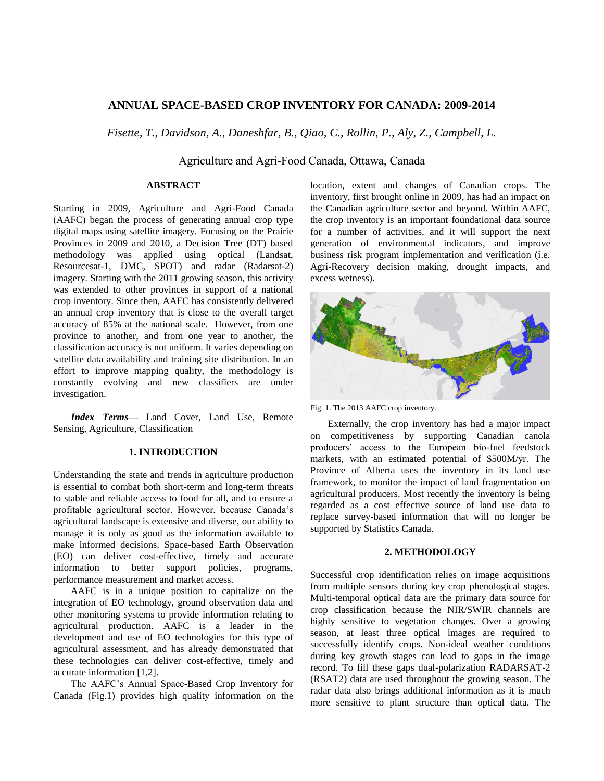# **ANNUAL SPACE-BASED CROP INVENTORY FOR CANADA: 2009-2014**

*Fisette, T., Davidson, A., Daneshfar, B., Qiao, C., Rollin, P., Aly, Z., Campbell, L.*

Agriculture and Agri-Food Canada, Ottawa, Canada

## **ABSTRACT**

Starting in 2009, Agriculture and Agri-Food Canada (AAFC) began the process of generating annual crop type digital maps using satellite imagery. Focusing on the Prairie Provinces in 2009 and 2010, a Decision Tree (DT) based methodology was applied using optical (Landsat, Resourcesat-1, DMC, SPOT) and radar (Radarsat-2) imagery. Starting with the 2011 growing season, this activity was extended to other provinces in support of a national crop inventory. Since then, AAFC has consistently delivered an annual crop inventory that is close to the overall target accuracy of 85% at the national scale. However, from one province to another, and from one year to another, the classification accuracy is not uniform. It varies depending on satellite data availability and training site distribution. In an effort to improve mapping quality, the methodology is constantly evolving and new classifiers are under investigation.

*Index Terms—* Land Cover, Land Use, Remote Sensing, Agriculture, Classification

## **1. INTRODUCTION**

Understanding the state and trends in agriculture production is essential to combat both short-term and long-term threats to stable and reliable access to food for all, and to ensure a profitable agricultural sector. However, because Canada's agricultural landscape is extensive and diverse, our ability to manage it is only as good as the information available to make informed decisions. Space-based Earth Observation (EO) can deliver cost-effective, timely and accurate information to better support policies, programs, performance measurement and market access.

AAFC is in a unique position to capitalize on the integration of EO technology, ground observation data and other monitoring systems to provide information relating to agricultural production. AAFC is a leader in the development and use of EO technologies for this type of agricultural assessment, and has already demonstrated that these technologies can deliver cost-effective, timely and accurate information [1,2].

The AAFC's Annual Space-Based Crop Inventory for Canada (Fig.1) provides high quality information on the

location, extent and changes of Canadian crops. The inventory, first brought online in 2009, has had an impact on the Canadian agriculture sector and beyond. Within AAFC, the crop inventory is an important foundational data source for a number of activities, and it will support the next generation of environmental indicators, and improve business risk program implementation and verification (i.e. Agri-Recovery decision making, drought impacts, and excess wetness).



Fig. 1. The 2013 AAFC crop inventory.

Externally, the crop inventory has had a major impact on competitiveness by supporting Canadian canola producers' access to the European bio-fuel feedstock markets, with an estimated potential of \$500M/yr. The Province of Alberta uses the inventory in its land use framework, to monitor the impact of land fragmentation on agricultural producers. Most recently the inventory is being regarded as a cost effective source of land use data to replace survey-based information that will no longer be supported by Statistics Canada.

#### **2. METHODOLOGY**

Successful crop identification relies on image acquisitions from multiple sensors during key crop phenological stages. Multi-temporal optical data are the primary data source for crop classification because the NIR/SWIR channels are highly sensitive to vegetation changes. Over a growing season, at least three optical images are required to successfully identify crops. Non-ideal weather conditions during key growth stages can lead to gaps in the image record. To fill these gaps dual-polarization RADARSAT-2 (RSAT2) data are used throughout the growing season. The radar data also brings additional information as it is much more sensitive to plant structure than optical data. The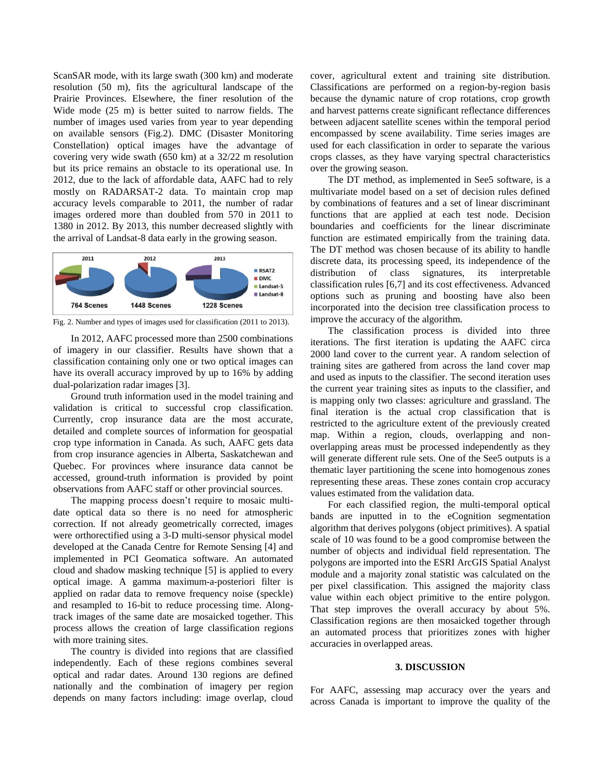ScanSAR mode, with its large swath (300 km) and moderate resolution (50 m), fits the agricultural landscape of the Prairie Provinces. Elsewhere, the finer resolution of the Wide mode (25 m) is better suited to narrow fields. The number of images used varies from year to year depending on available sensors (Fig.2). DMC (Disaster Monitoring Constellation) optical images have the advantage of covering very wide swath (650 km) at a 32/22 m resolution but its price remains an obstacle to its operational use. In 2012, due to the lack of affordable data, AAFC had to rely mostly on RADARSAT-2 data. To maintain crop map accuracy levels comparable to 2011, the number of radar images ordered more than doubled from 570 in 2011 to 1380 in 2012. By 2013, this number decreased slightly with the arrival of Landsat-8 data early in the growing season.



Fig. 2. Number and types of images used for classification (2011 to 2013).

In 2012, AAFC processed more than 2500 combinations of imagery in our classifier. Results have shown that a classification containing only one or two optical images can have its overall accuracy improved by up to 16% by adding dual-polarization radar images [3].

Ground truth information used in the model training and validation is critical to successful crop classification. Currently, crop insurance data are the most accurate, detailed and complete sources of information for geospatial crop type information in Canada. As such, AAFC gets data from crop insurance agencies in Alberta, Saskatchewan and Quebec. For provinces where insurance data cannot be accessed, ground-truth information is provided by point observations from AAFC staff or other provincial sources.

The mapping process doesn't require to mosaic multidate optical data so there is no need for atmospheric correction. If not already geometrically corrected, images were orthorectified using a 3-D multi-sensor physical model developed at the Canada Centre for Remote Sensing [4] and implemented in PCI Geomatica software. An automated cloud and shadow masking technique [5] is applied to every optical image. A gamma maximum-a-posteriori filter is applied on radar data to remove frequency noise (speckle) and resampled to 16-bit to reduce processing time. Alongtrack images of the same date are mosaicked together. This process allows the creation of large classification regions with more training sites.

The country is divided into regions that are classified independently. Each of these regions combines several optical and radar dates. Around 130 regions are defined nationally and the combination of imagery per region depends on many factors including: image overlap, cloud

cover, agricultural extent and training site distribution. Classifications are performed on a region-by-region basis because the dynamic nature of crop rotations, crop growth and harvest patterns create significant reflectance differences between adjacent satellite scenes within the temporal period encompassed by scene availability. Time series images are used for each classification in order to separate the various crops classes, as they have varying spectral characteristics over the growing season.

The DT method, as implemented in See5 software, is a multivariate model based on a set of decision rules defined by combinations of features and a set of linear discriminant functions that are applied at each test node. Decision boundaries and coefficients for the linear discriminate function are estimated empirically from the training data. The DT method was chosen because of its ability to handle discrete data, its processing speed, its independence of the distribution of class signatures, its interpretable classification rules [6,7] and its cost effectiveness. Advanced options such as pruning and boosting have also been incorporated into the decision tree classification process to improve the accuracy of the algorithm.

The classification process is divided into three iterations. The first iteration is updating the AAFC circa 2000 land cover to the current year. A random selection of training sites are gathered from across the land cover map and used as inputs to the classifier. The second iteration uses the current year training sites as inputs to the classifier, and is mapping only two classes: agriculture and grassland. The final iteration is the actual crop classification that is restricted to the agriculture extent of the previously created map. Within a region, clouds, overlapping and nonoverlapping areas must be processed independently as they will generate different rule sets. One of the See5 outputs is a thematic layer partitioning the scene into homogenous zones representing these areas. These zones contain crop accuracy values estimated from the validation data.

For each classified region, the multi-temporal optical bands are inputted in to the eCognition segmentation algorithm that derives polygons (object primitives). A spatial scale of 10 was found to be a good compromise between the number of objects and individual field representation. The polygons are imported into the ESRI ArcGIS Spatial Analyst module and a majority zonal statistic was calculated on the per pixel classification. This assigned the majority class value within each object primitive to the entire polygon. That step improves the overall accuracy by about 5%. Classification regions are then mosaicked together through an automated process that prioritizes zones with higher accuracies in overlapped areas.

## **3. DISCUSSION**

For AAFC, assessing map accuracy over the years and across Canada is important to improve the quality of the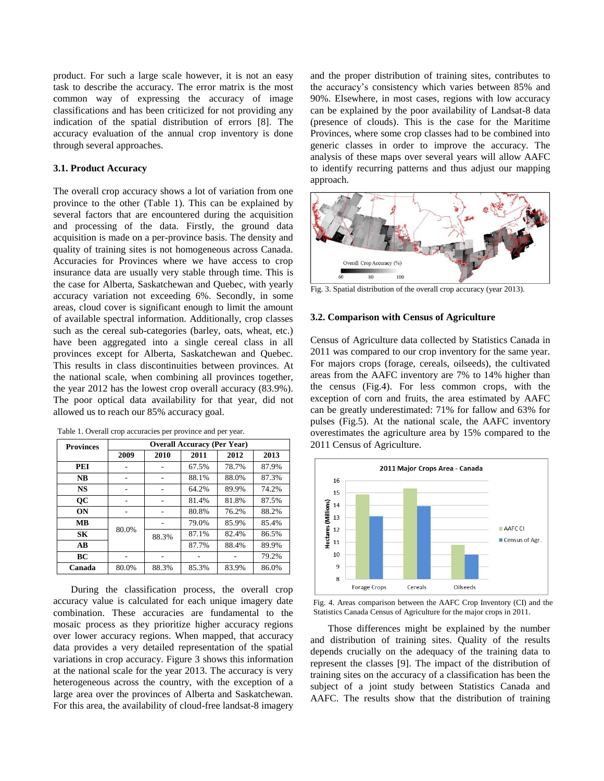product. For such a large scale however, it is not an easy task to describe the accuracy. The error matrix is the most common way of expressing the accuracy of image classifications and has been criticized for not providing any indication of the spatial distribution of errors [8]. The accuracy evaluation of the annual crop inventory is done through several approaches.

## **3.1. Product Accuracy**

The overall crop accuracy shows a lot of variation from one province to the other (Table 1). This can be explained by several factors that are encountered during the acquisition and processing of the data. Firstly, the ground data acquisition is made on a per-province basis. The density and quality of training sites is not homogeneous across Canada. Accuracies for Provinces where we have access to crop insurance data are usually very stable through time. This is the case for Alberta, Saskatchewan and Quebec, with yearly accuracy variation not exceeding 6%. Secondly, in some areas, cloud cover is significant enough to limit the amount of available spectral information. Additionally, crop classes such as the cereal sub-categories (barley, oats, wheat, etc.) have been aggregated into a single cereal class in all provinces except for Alberta, Saskatchewan and Quebec. This results in class discontinuities between provinces. At the national scale, when combining all provinces together, the year 2012 has the lowest crop overall accuracy (83.9%). The poor optical data availability for that year, did not allowed us to reach our 85% accuracy goal.

| <b>Provinces</b> | <b>Overall Accuracy (Per Year)</b> |       |       |       |       |
|------------------|------------------------------------|-------|-------|-------|-------|
|                  | 2009                               | 2010  | 2011  | 2012  | 2013  |
| PEI              |                                    |       | 67.5% | 78.7% | 87.9% |
| <b>NB</b>        |                                    |       | 88.1% | 88.0% | 87.3% |
| <b>NS</b>        |                                    |       | 64.2% | 89.9% | 74.2% |
| <b>OC</b>        |                                    |       | 81.4% | 81.8% | 87.5% |
| <b>ON</b>        |                                    |       | 80.8% | 76.2% | 88.2% |
| MВ               | 80.0%                              |       | 79.0% | 85.9% | 85.4% |
| SK               |                                    | 88.3% | 87.1% | 82.4% | 86.5% |
| $\bf AB$         |                                    |       | 87.7% | 88.4% | 89.9% |
| ВC               |                                    |       |       |       | 79.2% |
| Canada           | 80.0%                              | 88.3% | 85.3% | 83.9% | 86.0% |

Table 1. Overall crop accuracies per province and per year.

During the classification process, the overall crop accuracy value is calculated for each unique imagery date combination. These accuracies are fundamental to the mosaic process as they prioritize higher accuracy regions over lower accuracy regions. When mapped, that accuracy data provides a very detailed representation of the spatial variations in crop accuracy. Figure 3 shows this information at the national scale for the year 2013. The accuracy is very heterogeneous across the country, with the exception of a large area over the provinces of Alberta and Saskatchewan. For this area, the availability of cloud-free landsat-8 imagery

and the proper distribution of training sites, contributes to the accuracy's consistency which varies between 85% and 90%. Elsewhere, in most cases, regions with low accuracy can be explained by the poor availability of Landsat-8 data (presence of clouds). This is the case for the Maritime Provinces, where some crop classes had to be combined into generic classes in order to improve the accuracy. The analysis of these maps over several years will allow AAFC to identify recurring patterns and thus adjust our mapping approach.



Fig. 3. Spatial distribution of the overall crop accuracy (year 2013).

### **3.2. Comparison with Census of Agriculture**

Census of Agriculture data collected by Statistics Canada in 2011 was compared to our crop inventory for the same year. For majors crops (forage, cereals, oilseeds), the cultivated areas from the AAFC inventory are 7% to 14% higher than the census (Fig.4). For less common crops, with the exception of corn and fruits, the area estimated by AAFC can be greatly underestimated: 71% for fallow and 63% for pulses (Fig.5). At the national scale, the AAFC inventory overestimates the agriculture area by 15% compared to the 2011 Census of Agriculture.



Fig. 4. Areas comparison between the AAFC Crop Inventory (CI) and the Statistics Canada Census of Agriculture for the major crops in 2011.

Those differences might be explained by the number and distribution of training sites. Quality of the results depends crucially on the adequacy of the training data to represent the classes [9]. The impact of the distribution of training sites on the accuracy of a classification has been the subject of a joint study between Statistics Canada and AAFC. The results show that the distribution of training